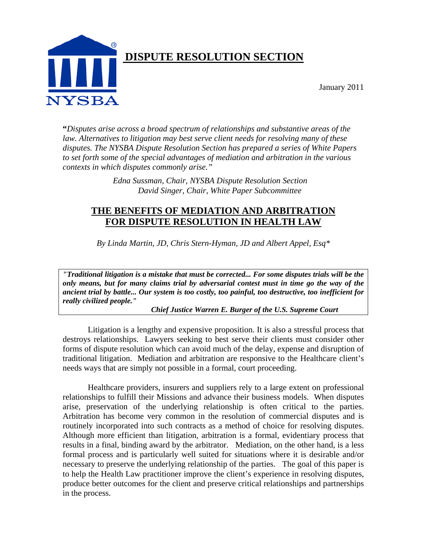

**"***Disputes arise across a broad spectrum of relationships and substantive areas of the law. Alternatives to litigation may best serve client needs for resolving many of these disputes. The NYSBA Dispute Resolution Section has prepared a series of White Papers to set forth some of the special advantages of mediation and arbitration in the various contexts in which disputes commonly arise."*

> *Edna Sussman, Chair, NYSBA Dispute Resolution Section David Singer, Chair, White Paper Subcommittee*

# **THE BENEFITS OF MEDIATION AND ARBITRATION FOR DISPUTE RESOLUTION IN HEALTH LAW**

*By Linda Martin, JD, Chris Stern-Hyman, JD and Albert Appel, Esq\**

*"Traditional litigation is a mistake that must be corrected... For some disputes trials will be the only means, but for many claims trial by adversarial contest must in time go the way of the ancient trial by battle... Our system is too costly, too painful, too destructive, too inefficient for really civilized people."* 

 *Chief Justice Warren E. Burger of the U.S. Supreme Court* 

Litigation is a lengthy and expensive proposition. It is also a stressful process that destroys relationships. Lawyers seeking to best serve their clients must consider other forms of dispute resolution which can avoid much of the delay, expense and disruption of traditional litigation. Mediation and arbitration are responsive to the Healthcare client's needs ways that are simply not possible in a formal, court proceeding.

Healthcare providers, insurers and suppliers rely to a large extent on professional relationships to fulfill their Missions and advance their business models. When disputes arise, preservation of the underlying relationship is often critical to the parties. Arbitration has become very common in the resolution of commercial disputes and is routinely incorporated into such contracts as a method of choice for resolving disputes. Although more efficient than litigation, arbitration is a formal, evidentiary process that results in a final, binding award by the arbitrator. Mediation, on the other hand, is a less formal process and is particularly well suited for situations where it is desirable and/or necessary to preserve the underlying relationship of the parties. The goal of this paper is to help the Health Law practitioner improve the client's experience in resolving disputes, produce better outcomes for the client and preserve critical relationships and partnerships in the process.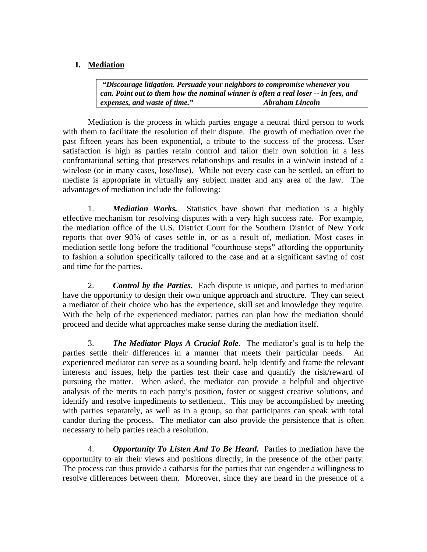# **I. Mediation**

*"Discourage litigation. Persuade your neighbors to compromise whenever you can. Point out to them how the nominal winner is often a real loser -- in fees, and expenses, and waste of time." Abraham Lincoln* 

 Mediation is the process in which parties engage a neutral third person to work with them to facilitate the resolution of their dispute. The growth of mediation over the past fifteen years has been exponential, a tribute to the success of the process. User satisfaction is high as parties retain control and tailor their own solution in a less confrontational setting that preserves relationships and results in a win/win instead of a win/lose (or in many cases, lose/lose). While not every case can be settled, an effort to mediate is appropriate in virtually any subject matter and any area of the law. The advantages of mediation include the following:

1. *Mediation Works.* Statistics have shown that mediation is a highly effective mechanism for resolving disputes with a very high success rate. For example, the mediation office of the U.S. District Court for the Southern District of New York reports that over 90% of cases settle in, or as a result of, mediation. Most cases in mediation settle long before the traditional "courthouse steps" affording the opportunity to fashion a solution specifically tailored to the case and at a significant saving of cost and time for the parties.

2. *Control by the Parties.* Each dispute is unique, and parties to mediation have the opportunity to design their own unique approach and structure. They can select a mediator of their choice who has the experience, skill set and knowledge they require. With the help of the experienced mediator, parties can plan how the mediation should proceed and decide what approaches make sense during the mediation itself.

3. *The Mediator Plays A Crucial Role*. The mediator's goal is to help the parties settle their differences in a manner that meets their particular needs. An experienced mediator can serve as a sounding board, help identify and frame the relevant interests and issues, help the parties test their case and quantify the risk/reward of pursuing the matter. When asked, the mediator can provide a helpful and objective analysis of the merits to each party's position, foster or suggest creative solutions, and identify and resolve impediments to settlement. This may be accomplished by meeting with parties separately, as well as in a group, so that participants can speak with total candor during the process. The mediator can also provide the persistence that is often necessary to help parties reach a resolution.

4. *Opportunity To Listen And To Be Heard.* Parties to mediation have the opportunity to air their views and positions directly, in the presence of the other party. The process can thus provide a catharsis for the parties that can engender a willingness to resolve differences between them. Moreover, since they are heard in the presence of a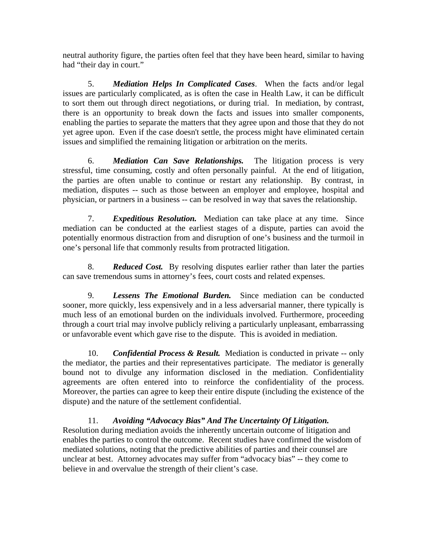neutral authority figure, the parties often feel that they have been heard, similar to having had "their day in court."

5. *Mediation Helps In Complicated Cases*. When the facts and/or legal issues are particularly complicated, as is often the case in Health Law, it can be difficult to sort them out through direct negotiations, or during trial. In mediation, by contrast, there is an opportunity to break down the facts and issues into smaller components, enabling the parties to separate the matters that they agree upon and those that they do not yet agree upon. Even if the case doesn't settle, the process might have eliminated certain issues and simplified the remaining litigation or arbitration on the merits.

6. *Mediation Can Save Relationships.* The litigation process is very stressful, time consuming, costly and often personally painful. At the end of litigation, the parties are often unable to continue or restart any relationship. By contrast, in mediation, disputes -- such as those between an employer and employee, hospital and physician, or partners in a business -- can be resolved in way that saves the relationship.

7. *Expeditious Resolution.* Mediation can take place at any time. Since mediation can be conducted at the earliest stages of a dispute, parties can avoid the potentially enormous distraction from and disruption of one's business and the turmoil in one's personal life that commonly results from protracted litigation.

8. *Reduced Cost.* By resolving disputes earlier rather than later the parties can save tremendous sums in attorney's fees, court costs and related expenses.

9. *Lessens The Emotional Burden.* Since mediation can be conducted sooner, more quickly, less expensively and in a less adversarial manner, there typically is much less of an emotional burden on the individuals involved. Furthermore, proceeding through a court trial may involve publicly reliving a particularly unpleasant, embarrassing or unfavorable event which gave rise to the dispute. This is avoided in mediation.

10. *Confidential Process & Result.* Mediation is conducted in private -- only the mediator, the parties and their representatives participate. The mediator is generally bound not to divulge any information disclosed in the mediation. Confidentiality agreements are often entered into to reinforce the confidentiality of the process. Moreover, the parties can agree to keep their entire dispute (including the existence of the dispute) and the nature of the settlement confidential.

11. *Avoiding "Advocacy Bias" And The Uncertainty Of Litigation.* Resolution during mediation avoids the inherently uncertain outcome of litigation and enables the parties to control the outcome. Recent studies have confirmed the wisdom of mediated solutions, noting that the predictive abilities of parties and their counsel are unclear at best. Attorney advocates may suffer from "advocacy bias" -- they come to believe in and overvalue the strength of their client's case.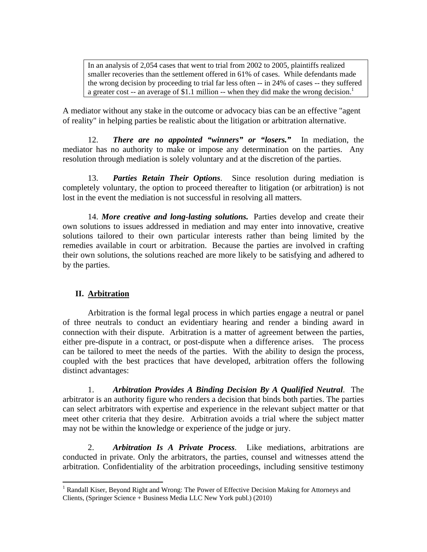In an analysis of 2,054 cases that went to trial from 2002 to 2005, plaintiffs realized smaller recoveries than the settlement offered in 61% of cases. While defendants made the wrong decision by proceeding to trial far less often -- in 24% of cases -- they suffered a greater cost -- an average of \$1.1 million -- when they did make the wrong decision.<sup>1</sup>

A mediator without any stake in the outcome or advocacy bias can be an effective "agent of reality" in helping parties be realistic about the litigation or arbitration alternative.

12. *There are no appointed "winners" or "losers."* In mediation, the mediator has no authority to make or impose any determination on the parties. Any resolution through mediation is solely voluntary and at the discretion of the parties.

13. *Parties Retain Their Options*. Since resolution during mediation is completely voluntary, the option to proceed thereafter to litigation (or arbitration) is not lost in the event the mediation is not successful in resolving all matters.

14. *More creative and long-lasting solutions.* Parties develop and create their own solutions to issues addressed in mediation and may enter into innovative, creative solutions tailored to their own particular interests rather than being limited by the remedies available in court or arbitration. Because the parties are involved in crafting their own solutions, the solutions reached are more likely to be satisfying and adhered to by the parties.

## **II. Arbitration**

Arbitration is the formal legal process in which parties engage a neutral or panel of three neutrals to conduct an evidentiary hearing and render a binding award in connection with their dispute. Arbitration is a matter of agreement between the parties, either pre-dispute in a contract, or post-dispute when a difference arises. The process can be tailored to meet the needs of the parties. With the ability to design the process, coupled with the best practices that have developed, arbitration offers the following distinct advantages:

1. *Arbitration Provides A Binding Decision By A Qualified Neutral*. The arbitrator is an authority figure who renders a decision that binds both parties. The parties can select arbitrators with expertise and experience in the relevant subject matter or that meet other criteria that they desire. Arbitration avoids a trial where the subject matter may not be within the knowledge or experience of the judge or jury.

2. *Arbitration Is A Private Process*. Like mediations, arbitrations are conducted in private. Only the arbitrators, the parties, counsel and witnesses attend the arbitration. Confidentiality of the arbitration proceedings, including sensitive testimony

<sup>&</sup>lt;sup>1</sup> Randall Kiser, Beyond Right and Wrong: The Power of Effective Decision Making for Attorneys and Clients, (Springer Science + Business Media LLC New York publ.) (2010)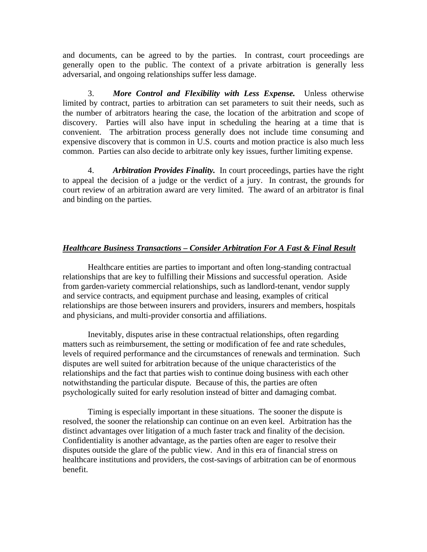and documents, can be agreed to by the parties. In contrast, court proceedings are generally open to the public. The context of a private arbitration is generally less adversarial, and ongoing relationships suffer less damage.

3. *More Control and Flexibility with Less Expense.* Unless otherwise limited by contract, parties to arbitration can set parameters to suit their needs, such as the number of arbitrators hearing the case, the location of the arbitration and scope of discovery. Parties will also have input in scheduling the hearing at a time that is convenient. The arbitration process generally does not include time consuming and expensive discovery that is common in U.S. courts and motion practice is also much less common. Parties can also decide to arbitrate only key issues, further limiting expense.

4. *Arbitration Provides Finality.* In court proceedings, parties have the right to appeal the decision of a judge or the verdict of a jury. In contrast, the grounds for court review of an arbitration award are very limited. The award of an arbitrator is final and binding on the parties.

#### *Healthcare Business Transactions – Consider Arbitration For A Fast & Final Result*

Healthcare entities are parties to important and often long-standing contractual relationships that are key to fulfilling their Missions and successful operation. Aside from garden-variety commercial relationships, such as landlord-tenant, vendor supply and service contracts, and equipment purchase and leasing, examples of critical relationships are those between insurers and providers, insurers and members, hospitals and physicians, and multi-provider consortia and affiliations.

Inevitably, disputes arise in these contractual relationships, often regarding matters such as reimbursement, the setting or modification of fee and rate schedules, levels of required performance and the circumstances of renewals and termination. Such disputes are well suited for arbitration because of the unique characteristics of the relationships and the fact that parties wish to continue doing business with each other notwithstanding the particular dispute. Because of this, the parties are often psychologically suited for early resolution instead of bitter and damaging combat.

Timing is especially important in these situations. The sooner the dispute is resolved, the sooner the relationship can continue on an even keel. Arbitration has the distinct advantages over litigation of a much faster track and finality of the decision. Confidentiality is another advantage, as the parties often are eager to resolve their disputes outside the glare of the public view. And in this era of financial stress on healthcare institutions and providers, the cost-savings of arbitration can be of enormous benefit.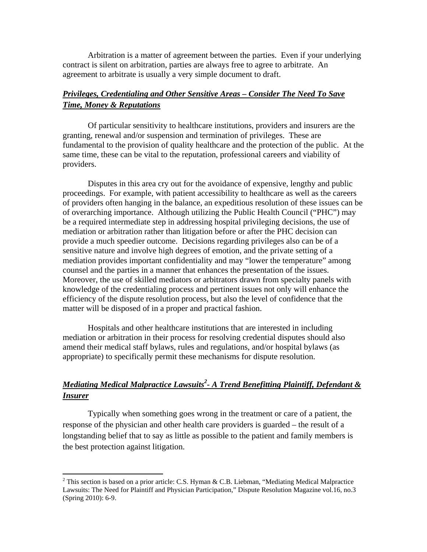Arbitration is a matter of agreement between the parties. Even if your underlying contract is silent on arbitration, parties are always free to agree to arbitrate. An agreement to arbitrate is usually a very simple document to draft.

## *Privileges, Credentialing and Other Sensitive Areas – Consider The Need To Save Time, Money & Reputations*

Of particular sensitivity to healthcare institutions, providers and insurers are the granting, renewal and/or suspension and termination of privileges. These are fundamental to the provision of quality healthcare and the protection of the public. At the same time, these can be vital to the reputation, professional careers and viability of providers.

Disputes in this area cry out for the avoidance of expensive, lengthy and public proceedings. For example, with patient accessibility to healthcare as well as the careers of providers often hanging in the balance, an expeditious resolution of these issues can be of overarching importance. Although utilizing the Public Health Council ("PHC") may be a required intermediate step in addressing hospital privileging decisions, the use of mediation or arbitration rather than litigation before or after the PHC decision can provide a much speedier outcome. Decisions regarding privileges also can be of a sensitive nature and involve high degrees of emotion, and the private setting of a mediation provides important confidentiality and may "lower the temperature" among counsel and the parties in a manner that enhances the presentation of the issues. Moreover, the use of skilled mediators or arbitrators drawn from specialty panels with knowledge of the credentialing process and pertinent issues not only will enhance the efficiency of the dispute resolution process, but also the level of confidence that the matter will be disposed of in a proper and practical fashion.

 Hospitals and other healthcare institutions that are interested in including mediation or arbitration in their process for resolving credential disputes should also amend their medical staff bylaws, rules and regulations, and/or hospital bylaws (as appropriate) to specifically permit these mechanisms for dispute resolution.

# *Mediating Medical Malpractice Lawsuits2 - A Trend Benefitting Plaintiff, Defendant & Insurer*

Typically when something goes wrong in the treatment or care of a patient, the response of the physician and other health care providers is guarded – the result of a longstanding belief that to say as little as possible to the patient and family members is the best protection against litigation.

<sup>&</sup>lt;sup>2</sup> This section is based on a prior article: C.S. Hyman & C.B. Liebman, "Mediating Medical Malpractice Lawsuits: The Need for Plaintiff and Physician Participation," Dispute Resolution Magazine vol.16, no.3 (Spring 2010): 6-9.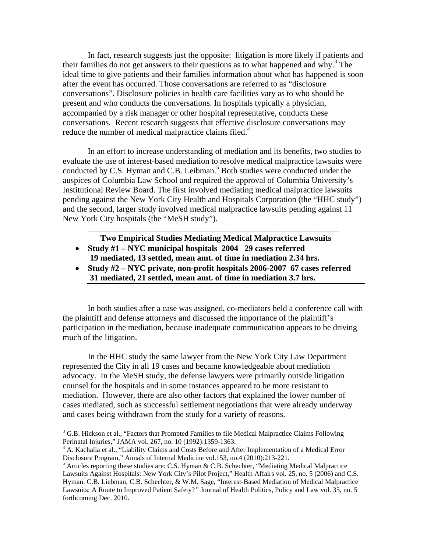In fact, research suggests just the opposite: litigation is more likely if patients and their families do not get answers to their questions as to what happened and why. $3$  The ideal time to give patients and their families information about what has happened is soon after the event has occurred. Those conversations are referred to as "disclosure conversations". Disclosure policies in health care facilities vary as to who should be present and who conducts the conversations. In hospitals typically a physician, accompanied by a risk manager or other hospital representative, conducts these conversations. Recent research suggests that effective disclosure conversations may reduce the number of medical malpractice claims filed.<sup>4</sup>

In an effort to increase understanding of mediation and its benefits, two studies to evaluate the use of interest-based mediation to resolve medical malpractice lawsuits were conducted by C.S. Hyman and C.B. Leibman.<sup>5</sup> Both studies were conducted under the auspices of Columbia Law School and required the approval of Columbia University's Institutional Review Board. The first involved mediating medical malpractice lawsuits pending against the New York City Health and Hospitals Corporation (the "HHC study") and the second, larger study involved medical malpractice lawsuits pending against 11 New York City hospitals (the "MeSH study").

\_\_\_\_\_\_\_\_\_\_\_\_\_\_\_\_\_\_\_\_\_\_\_\_\_\_\_\_\_\_\_\_\_\_\_\_\_\_\_\_\_\_\_\_\_\_\_\_\_\_\_\_\_\_\_\_\_\_\_\_ **Two Empirical Studies Mediating Medical Malpractice Lawsuits** 

- **Study #1 NYC municipal hospitals 2004 29 cases referred**
- **19 mediated, 13 settled, mean amt. of time in mediation 2.34 hrs.**
- **Study #2 NYC private, non-profit hospitals 2006-2007 67 cases referred 31 mediated, 21 settled, mean amt. of time in mediation 3.7 hrs.**

In both studies after a case was assigned, co-mediators held a conference call with the plaintiff and defense attorneys and discussed the importance of the plaintiff's participation in the mediation, because inadequate communication appears to be driving much of the litigation.

In the HHC study the same lawyer from the New York City Law Department represented the City in all 19 cases and became knowledgeable about mediation advocacy. In the MeSH study, the defense lawyers were primarily outside litigation counsel for the hospitals and in some instances appeared to be more resistant to mediation. However, there are also other factors that explained the lower number of cases mediated, such as successful settlement negotiations that were already underway and cases being withdrawn from the study for a variety of reasons.

 $3$  G.B. Hickson et al., "Factors that Prompted Families to file Medical Malpractice Claims Following Perinatal Injuries," JAMA vol. 267, no. 10 (1992):1359-1363.

<sup>&</sup>lt;sup>4</sup> A. Kachalia et al., "Liability Claims and Costs Before and After Implementation of a Medical Error Disclosure Program," Annals of Internal Medicine vol.153, no.4 (2010):213-221.

<sup>&</sup>lt;sup>5</sup> Articles reporting these studies are: C.S. Hyman & C.B. Schechter, "Mediating Medical Malpractice Lawsuits Against Hospitals: New York City's Pilot Project," Health Affairs vol. 25, no. 5 (2006) and C.S. Hyman, C.B. Liebman, C.B. Schechter, & W.M. Sage, "Interest-Based Mediation of Medical Malpractice Lawsuits: A Route to Improved Patient Safety?*"* Journal of Health Politics, Policy and Law vol. 35, no. 5 forthcoming Dec. 2010.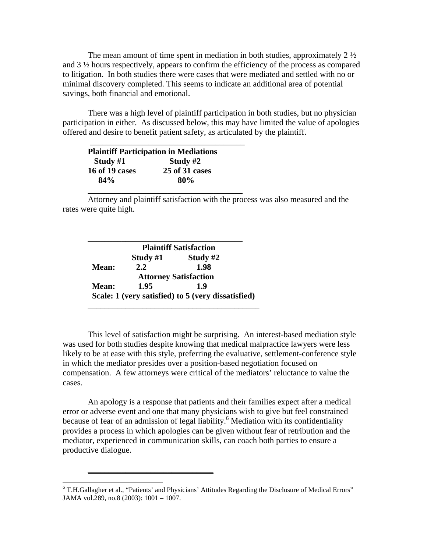The mean amount of time spent in mediation in both studies, approximately  $2\frac{1}{2}$ and 3 ½ hours respectively, appears to confirm the efficiency of the process as compared to litigation. In both studies there were cases that were mediated and settled with no or minimal discovery completed. This seems to indicate an additional area of potential savings, both financial and emotional.

There was a high level of plaintiff participation in both studies, but no physician participation in either. As discussed below, this may have limited the value of apologies offered and desire to benefit patient safety, as articulated by the plaintiff.

|                | <b>Plaintiff Participation in Mediations</b> |  |
|----------------|----------------------------------------------|--|
| Study $#1$     | Study $#2$                                   |  |
| 16 of 19 cases | 25 of 31 cases                               |  |
| 84%            | 80%                                          |  |

Attorney and plaintiff satisfaction with the process was also measured and the rates were quite high.

|       | <b>Plaintiff Satisfaction</b> |                                                    |  |
|-------|-------------------------------|----------------------------------------------------|--|
|       | Study $#1$                    | Study #2                                           |  |
| Mean: | 2.2                           | 1.98                                               |  |
|       |                               | <b>Attorney Satisfaction</b>                       |  |
| Mean: | 1.95                          | 1.9                                                |  |
|       |                               | Scale: 1 (very satisfied) to 5 (very dissatisfied) |  |

\_\_\_\_\_\_\_\_\_\_\_\_\_\_\_\_\_\_\_\_\_\_\_\_\_\_\_\_\_\_

This level of satisfaction might be surprising. An interest-based mediation style was used for both studies despite knowing that medical malpractice lawyers were less likely to be at ease with this style, preferring the evaluative, settlement-conference style in which the mediator presides over a position-based negotiation focused on compensation. A few attorneys were critical of the mediators' reluctance to value the cases.

 An apology is a response that patients and their families expect after a medical error or adverse event and one that many physicians wish to give but feel constrained because of fear of an admission of legal liability.<sup>6</sup> Mediation with its confidentiality provides a process in which apologies can be given without fear of retribution and the mediator, experienced in communication skills, can coach both parties to ensure a productive dialogue.

 6 T.H.Gallagher et al., "Patients' and Physicians' Attitudes Regarding the Disclosure of Medical Errors" JAMA vol.289, no.8 (2003): 1001 – 1007.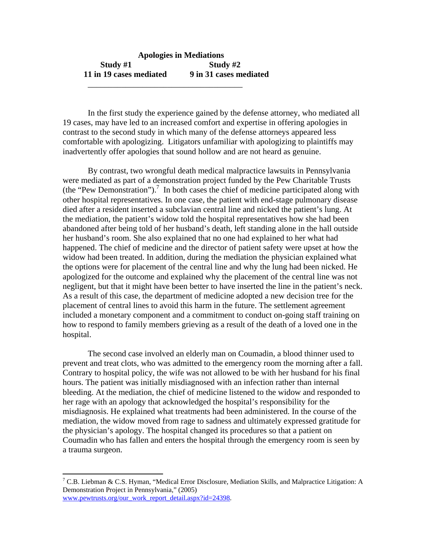### **Apologies in Mediations Study #1 Study #2 11 in 19 cases mediated 9 in 31 cases mediated**  \_\_\_\_\_\_\_\_\_\_\_\_\_\_\_\_\_\_\_\_\_\_\_\_\_\_\_\_\_\_\_\_\_\_\_\_\_

In the first study the experience gained by the defense attorney, who mediated all 19 cases, may have led to an increased comfort and expertise in offering apologies in contrast to the second study in which many of the defense attorneys appeared less comfortable with apologizing. Litigators unfamiliar with apologizing to plaintiffs may inadvertently offer apologies that sound hollow and are not heard as genuine.

 By contrast, two wrongful death medical malpractice lawsuits in Pennsylvania were mediated as part of a demonstration project funded by the Pew Charitable Trusts  $($ the "Pew Demonstration" $).$ <sup>7</sup> In both cases the chief of medicine participated along with other hospital representatives. In one case, the patient with end-stage pulmonary disease died after a resident inserted a subclavian central line and nicked the patient's lung. At the mediation, the patient's widow told the hospital representatives how she had been abandoned after being told of her husband's death, left standing alone in the hall outside her husband's room. She also explained that no one had explained to her what had happened. The chief of medicine and the director of patient safety were upset at how the widow had been treated. In addition, during the mediation the physician explained what the options were for placement of the central line and why the lung had been nicked. He apologized for the outcome and explained why the placement of the central line was not negligent, but that it might have been better to have inserted the line in the patient's neck. As a result of this case, the department of medicine adopted a new decision tree for the placement of central lines to avoid this harm in the future. The settlement agreement included a monetary component and a commitment to conduct on-going staff training on how to respond to family members grieving as a result of the death of a loved one in the hospital.

 The second case involved an elderly man on Coumadin, a blood thinner used to prevent and treat clots, who was admitted to the emergency room the morning after a fall. Contrary to hospital policy, the wife was not allowed to be with her husband for his final hours. The patient was initially misdiagnosed with an infection rather than internal bleeding. At the mediation, the chief of medicine listened to the widow and responded to her rage with an apology that acknowledged the hospital's responsibility for the misdiagnosis. He explained what treatments had been administered. In the course of the mediation, the widow moved from rage to sadness and ultimately expressed gratitude for the physician's apology. The hospital changed its procedures so that a patient on Coumadin who has fallen and enters the hospital through the emergency room is seen by a trauma surgeon.

<sup>&</sup>lt;sup>7</sup> C.B. Liebman & C.S. Hyman, "Medical Error Disclosure, Mediation Skills, and Malpractice Litigation: A Demonstration Project in Pennsylvania," (2005) www.pewtrusts.org/our\_work\_report\_detail.aspx?id=24398.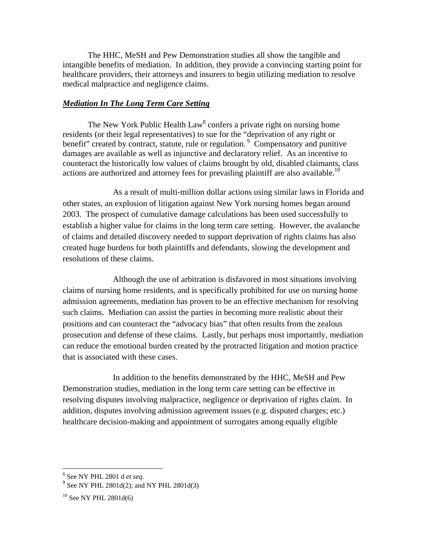The HHC, MeSH and Pew Demonstration studies all show the tangible and intangible benefits of mediation. In addition, they provide a convincing starting point for healthcare providers, their attorneys and insurers to begin utilizing mediation to resolve medical malpractice and negligence claims.

#### *Mediation In The Long Term Care Setting*

The New York Public Health  $Law<sup>8</sup>$  confers a private right on nursing home residents (or their legal representatives) to sue for the "deprivation of any right or benefit" created by contract, statute, rule or regulation.<sup>9</sup> Compensatory and punitive damages are available as well as injunctive and declaratory relief. As an incentive to counteract the historically low values of claims brought by old, disabled claimants, class actions are authorized and attorney fees for prevailing plaintiff are also available.<sup>10</sup>

 As a result of multi-million dollar actions using similar laws in Florida and other states, an explosion of litigation against New York nursing homes began around 2003. The prospect of cumulative damage calculations has been used successfully to establish a higher value for claims in the long term care setting. However, the avalanche of claims and detailed discovery needed to support deprivation of rights claims has also created huge burdens for both plaintiffs and defendants, slowing the development and resolutions of these claims.

 Although the use of arbitration is disfavored in most situations involving claims of nursing home residents, and is specifically prohibited for use on nursing home admission agreements, mediation has proven to be an effective mechanism for resolving such claims. Mediation can assist the parties in becoming more realistic about their positions and can counteract the "advocacy bias" that often results from the zealous prosecution and defense of these claims. Lastly, but perhaps most importantly, mediation can reduce the emotional burden created by the protracted litigation and motion practice that is associated with these cases.

 In addition to the benefits demonstrated by the HHC, MeSH and Pew Demonstration studies, mediation in the long term care setting can be effective in resolving disputes involving malpractice, negligence or deprivation of rights claim. In addition, disputes involving admission agreement issues (e.g. disputed charges; etc.) healthcare decision-making and appointment of surrogates among equally eligible

<sup>8</sup> See NY PHL 2801 d *et seq*.

 $9$  See NY PHL 2801d(2); and NY PHL 2801d(3)

 $10$  See NY PHL 2801d(6)